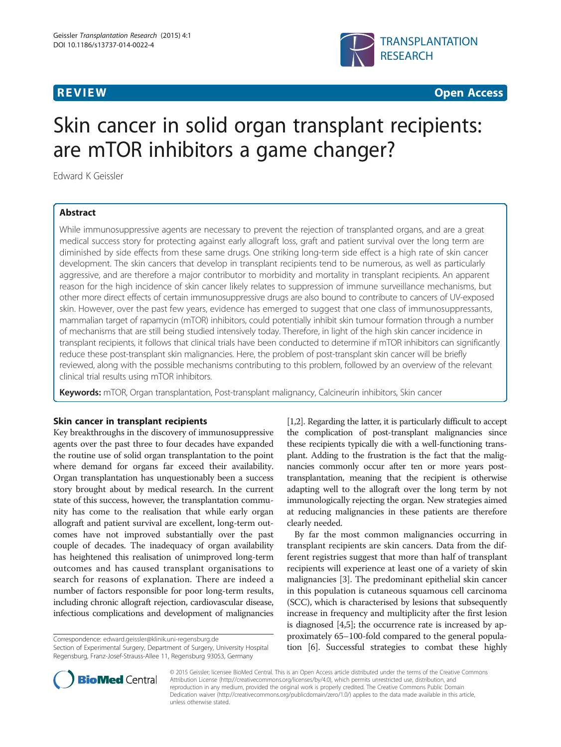

**REVIEW CONSTRUCTION CONSTRUCTION CONSTRUCTION CONSTRUCTION CONSTRUCTION CONSTRUCTION CONSTRUCTION CONSTRUCTION** 

# Skin cancer in solid organ transplant recipients: are mTOR inhibitors a game changer?

Edward K Geissler

# Abstract

While immunosuppressive agents are necessary to prevent the rejection of transplanted organs, and are a great medical success story for protecting against early allograft loss, graft and patient survival over the long term are diminished by side effects from these same drugs. One striking long-term side effect is a high rate of skin cancer development. The skin cancers that develop in transplant recipients tend to be numerous, as well as particularly aggressive, and are therefore a major contributor to morbidity and mortality in transplant recipients. An apparent reason for the high incidence of skin cancer likely relates to suppression of immune surveillance mechanisms, but other more direct effects of certain immunosuppressive drugs are also bound to contribute to cancers of UV-exposed skin. However, over the past few years, evidence has emerged to suggest that one class of immunosuppressants, mammalian target of rapamycin (mTOR) inhibitors, could potentially inhibit skin tumour formation through a number of mechanisms that are still being studied intensively today. Therefore, in light of the high skin cancer incidence in transplant recipients, it follows that clinical trials have been conducted to determine if mTOR inhibitors can significantly reduce these post-transplant skin malignancies. Here, the problem of post-transplant skin cancer will be briefly reviewed, along with the possible mechanisms contributing to this problem, followed by an overview of the relevant clinical trial results using mTOR inhibitors.

Keywords: mTOR, Organ transplantation, Post-transplant malignancy, Calcineurin inhibitors, Skin cancer

# Skin cancer in transplant recipients

Key breakthroughs in the discovery of immunosuppressive agents over the past three to four decades have expanded the routine use of solid organ transplantation to the point where demand for organs far exceed their availability. Organ transplantation has unquestionably been a success story brought about by medical research. In the current state of this success, however, the transplantation community has come to the realisation that while early organ allograft and patient survival are excellent, long-term outcomes have not improved substantially over the past couple of decades. The inadequacy of organ availability has heightened this realisation of unimproved long-term outcomes and has caused transplant organisations to search for reasons of explanation. There are indeed a number of factors responsible for poor long-term results, including chronic allograft rejection, cardiovascular disease, infectious complications and development of malignancies

Correspondence: [edward.geissler@klinik.uni-regensburg.de](mailto:edward.geissler@klinik.uni-regensburg.de)

Section of Experimental Surgery, Department of Surgery, University Hospital Regensburg, Franz-Josef-Strauss-Allee 11, Regensburg 93053, Germany

[[1,2](#page-4-0)]. Regarding the latter, it is particularly difficult to accept the complication of post-transplant malignancies since these recipients typically die with a well-functioning transplant. Adding to the frustration is the fact that the malignancies commonly occur after ten or more years posttransplantation, meaning that the recipient is otherwise adapting well to the allograft over the long term by not immunologically rejecting the organ. New strategies aimed at reducing malignancies in these patients are therefore clearly needed.

By far the most common malignancies occurring in transplant recipients are skin cancers. Data from the different registries suggest that more than half of transplant recipients will experience at least one of a variety of skin malignancies [[3\]](#page-4-0). The predominant epithelial skin cancer in this population is cutaneous squamous cell carcinoma (SCC), which is characterised by lesions that subsequently increase in frequency and multiplicity after the first lesion is diagnosed [[4,5](#page-4-0)]; the occurrence rate is increased by approximately 65–100-fold compared to the general population [\[6\]](#page-4-0). Successful strategies to combat these highly



© 2015 Geissler; licensee BioMed Central. This is an Open Access article distributed under the terms of the Creative Commons Attribution License (<http://creativecommons.org/licenses/by/4.0>), which permits unrestricted use, distribution, and reproduction in any medium, provided the original work is properly credited. The Creative Commons Public Domain Dedication waiver [\(http://creativecommons.org/publicdomain/zero/1.0/](http://creativecommons.org/publicdomain/zero/1.0/)) applies to the data made available in this article, unless otherwise stated.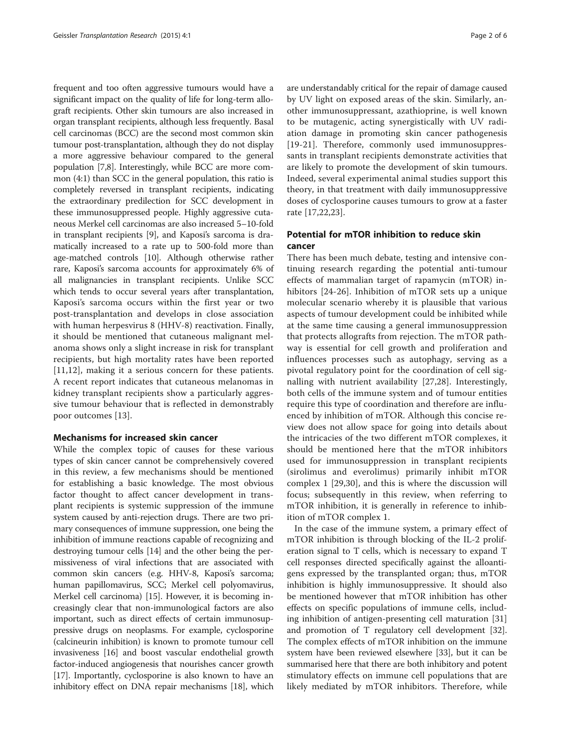frequent and too often aggressive tumours would have a significant impact on the quality of life for long-term allograft recipients. Other skin tumours are also increased in organ transplant recipients, although less frequently. Basal cell carcinomas (BCC) are the second most common skin tumour post-transplantation, although they do not display a more aggressive behaviour compared to the general population [\[7,8](#page-4-0)]. Interestingly, while BCC are more common (4:1) than SCC in the general population, this ratio is completely reversed in transplant recipients, indicating the extraordinary predilection for SCC development in these immunosuppressed people. Highly aggressive cutaneous Merkel cell carcinomas are also increased 5–10-fold in transplant recipients [\[9](#page-4-0)], and Kaposi's sarcoma is dramatically increased to a rate up to 500-fold more than age-matched controls [\[10\]](#page-4-0). Although otherwise rather rare, Kaposi's sarcoma accounts for approximately 6% of all malignancies in transplant recipients. Unlike SCC which tends to occur several years after transplantation, Kaposi's sarcoma occurs within the first year or two post-transplantation and develops in close association with human herpesvirus 8 (HHV-8) reactivation. Finally, it should be mentioned that cutaneous malignant melanoma shows only a slight increase in risk for transplant recipients, but high mortality rates have been reported [[11,12](#page-4-0)], making it a serious concern for these patients. A recent report indicates that cutaneous melanomas in kidney transplant recipients show a particularly aggressive tumour behaviour that is reflected in demonstrably poor outcomes [[13\]](#page-4-0).

### Mechanisms for increased skin cancer

While the complex topic of causes for these various types of skin cancer cannot be comprehensively covered in this review, a few mechanisms should be mentioned for establishing a basic knowledge. The most obvious factor thought to affect cancer development in transplant recipients is systemic suppression of the immune system caused by anti-rejection drugs. There are two primary consequences of immune suppression, one being the inhibition of immune reactions capable of recognizing and destroying tumour cells [[14](#page-4-0)] and the other being the permissiveness of viral infections that are associated with common skin cancers (e.g. HHV-8, Kaposi's sarcoma; human papillomavirus, SCC; Merkel cell polyomavirus, Merkel cell carcinoma) [[15](#page-4-0)]. However, it is becoming increasingly clear that non-immunological factors are also important, such as direct effects of certain immunosuppressive drugs on neoplasms. For example, cyclosporine (calcineurin inhibition) is known to promote tumour cell invasiveness [\[16\]](#page-4-0) and boost vascular endothelial growth factor-induced angiogenesis that nourishes cancer growth [[17](#page-4-0)]. Importantly, cyclosporine is also known to have an inhibitory effect on DNA repair mechanisms [[18](#page-4-0)], which

are understandably critical for the repair of damage caused by UV light on exposed areas of the skin. Similarly, another immunosuppressant, azathioprine, is well known to be mutagenic, acting synergistically with UV radiation damage in promoting skin cancer pathogenesis [[19-21\]](#page-4-0). Therefore, commonly used immunosuppressants in transplant recipients demonstrate activities that are likely to promote the development of skin tumours. Indeed, several experimental animal studies support this theory, in that treatment with daily immunosuppressive doses of cyclosporine causes tumours to grow at a faster rate [[17,22,23](#page-4-0)].

# Potential for mTOR inhibition to reduce skin cancer

There has been much debate, testing and intensive continuing research regarding the potential anti-tumour effects of mammalian target of rapamycin (mTOR) inhibitors [[24-26\]](#page-4-0). Inhibition of mTOR sets up a unique molecular scenario whereby it is plausible that various aspects of tumour development could be inhibited while at the same time causing a general immunosuppression that protects allografts from rejection. The mTOR pathway is essential for cell growth and proliferation and influences processes such as autophagy, serving as a pivotal regulatory point for the coordination of cell signalling with nutrient availability [[27,28\]](#page-4-0). Interestingly, both cells of the immune system and of tumour entities require this type of coordination and therefore are influenced by inhibition of mTOR. Although this concise review does not allow space for going into details about the intricacies of the two different mTOR complexes, it should be mentioned here that the mTOR inhibitors used for immunosuppression in transplant recipients (sirolimus and everolimus) primarily inhibit mTOR complex 1 [[29,30](#page-4-0)], and this is where the discussion will focus; subsequently in this review, when referring to mTOR inhibition, it is generally in reference to inhibition of mTOR complex 1.

In the case of the immune system, a primary effect of mTOR inhibition is through blocking of the IL-2 proliferation signal to T cells, which is necessary to expand T cell responses directed specifically against the alloantigens expressed by the transplanted organ; thus, mTOR inhibition is highly immunosuppressive. It should also be mentioned however that mTOR inhibition has other effects on specific populations of immune cells, including inhibition of antigen-presenting cell maturation [[31](#page-4-0)] and promotion of T regulatory cell development [\[32](#page-4-0)]. The complex effects of mTOR inhibition on the immune system have been reviewed elsewhere [[33\]](#page-4-0), but it can be summarised here that there are both inhibitory and potent stimulatory effects on immune cell populations that are likely mediated by mTOR inhibitors. Therefore, while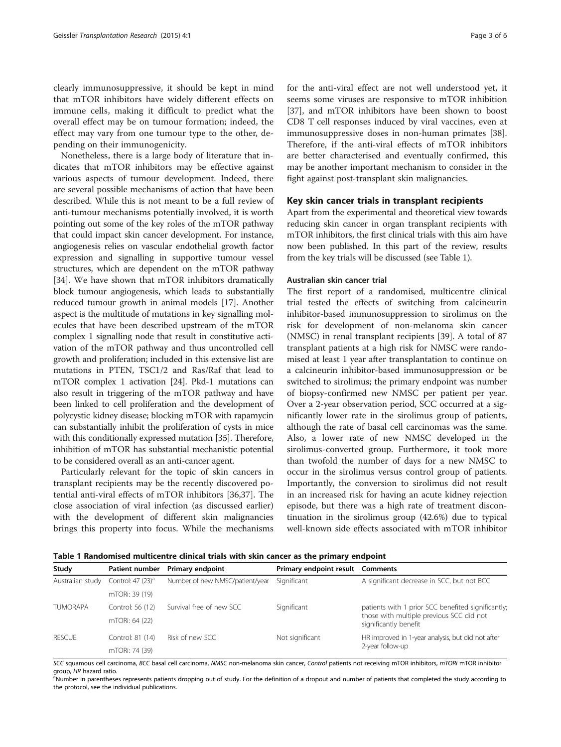clearly immunosuppressive, it should be kept in mind that mTOR inhibitors have widely different effects on immune cells, making it difficult to predict what the overall effect may be on tumour formation; indeed, the effect may vary from one tumour type to the other, depending on their immunogenicity.

Nonetheless, there is a large body of literature that indicates that mTOR inhibitors may be effective against various aspects of tumour development. Indeed, there are several possible mechanisms of action that have been described. While this is not meant to be a full review of anti-tumour mechanisms potentially involved, it is worth pointing out some of the key roles of the mTOR pathway that could impact skin cancer development. For instance, angiogenesis relies on vascular endothelial growth factor expression and signalling in supportive tumour vessel structures, which are dependent on the mTOR pathway [[34](#page-4-0)]. We have shown that mTOR inhibitors dramatically block tumour angiogenesis, which leads to substantially reduced tumour growth in animal models [\[17\]](#page-4-0). Another aspect is the multitude of mutations in key signalling molecules that have been described upstream of the mTOR complex 1 signalling node that result in constitutive activation of the mTOR pathway and thus uncontrolled cell growth and proliferation; included in this extensive list are mutations in PTEN, TSC1/2 and Ras/Raf that lead to mTOR complex 1 activation [\[24\]](#page-4-0). Pkd-1 mutations can also result in triggering of the mTOR pathway and have been linked to cell proliferation and the development of polycystic kidney disease; blocking mTOR with rapamycin can substantially inhibit the proliferation of cysts in mice with this conditionally expressed mutation [[35](#page-4-0)]. Therefore, inhibition of mTOR has substantial mechanistic potential to be considered overall as an anti-cancer agent.

Particularly relevant for the topic of skin cancers in transplant recipients may be the recently discovered potential anti-viral effects of mTOR inhibitors [[36,37\]](#page-4-0). The close association of viral infection (as discussed earlier) with the development of different skin malignancies brings this property into focus. While the mechanisms for the anti-viral effect are not well understood yet, it seems some viruses are responsive to mTOR inhibition [[37\]](#page-4-0), and mTOR inhibitors have been shown to boost CD8 T cell responses induced by viral vaccines, even at immunosuppressive doses in non-human primates [\[38](#page-5-0)]. Therefore, if the anti-viral effects of mTOR inhibitors are better characterised and eventually confirmed, this may be another important mechanism to consider in the fight against post-transplant skin malignancies.

#### Key skin cancer trials in transplant recipients

Apart from the experimental and theoretical view towards reducing skin cancer in organ transplant recipients with mTOR inhibitors, the first clinical trials with this aim have now been published. In this part of the review, results from the key trials will be discussed (see Table 1).

#### Australian skin cancer trial

The first report of a randomised, multicentre clinical trial tested the effects of switching from calcineurin inhibitor-based immunosuppression to sirolimus on the risk for development of non-melanoma skin cancer (NMSC) in renal transplant recipients [[39\]](#page-5-0). A total of 87 transplant patients at a high risk for NMSC were randomised at least 1 year after transplantation to continue on a calcineurin inhibitor-based immunosuppression or be switched to sirolimus; the primary endpoint was number of biopsy-confirmed new NMSC per patient per year. Over a 2-year observation period, SCC occurred at a significantly lower rate in the sirolimus group of patients, although the rate of basal cell carcinomas was the same. Also, a lower rate of new NMSC developed in the sirolimus-converted group. Furthermore, it took more than twofold the number of days for a new NMSC to occur in the sirolimus versus control group of patients. Importantly, the conversion to sirolimus did not result in an increased risk for having an acute kidney rejection episode, but there was a high rate of treatment discontinuation in the sirolimus group (42.6%) due to typical well-known side effects associated with mTOR inhibitor

Table 1 Randomised multicentre clinical trials with skin cancer as the primary endpoint

| Study            | Patient number                | <b>Primary endpoint</b>         | Primary endpoint result Comments |                                                                                                                         |
|------------------|-------------------------------|---------------------------------|----------------------------------|-------------------------------------------------------------------------------------------------------------------------|
| Australian study | Control: 47 (23) <sup>a</sup> | Number of new NMSC/patient/year | Significant                      | A significant decrease in SCC, but not BCC                                                                              |
|                  | mTORi: 39 (19)                |                                 |                                  |                                                                                                                         |
| <b>TUMORAPA</b>  | Control: 56 (12)              | Survival free of new SCC        | Significant                      | patients with 1 prior SCC benefited significantly;<br>those with multiple previous SCC did not<br>significantly benefit |
|                  | mTORi: 64 (22)                |                                 |                                  |                                                                                                                         |
| <b>RESCUE</b>    | Control: 81 (14)              | Risk of new SCC                 | Not significant                  | HR improved in 1-year analysis, but did not after<br>2-year follow-up                                                   |
|                  | mTORi: 74 (39)                |                                 |                                  |                                                                                                                         |

SCC squamous cell carcinoma, BCC basal cell carcinoma, NMSC non-melanoma skin cancer, Control patients not receiving mTOR inhibitors, mTORi mTOR inhibitor group, HR hazard ratio.

<sup>a</sup>Number in parentheses represents patients dropping out of study. For the definition of a dropout and number of patients that completed the study according to the protocol, see the individual publications.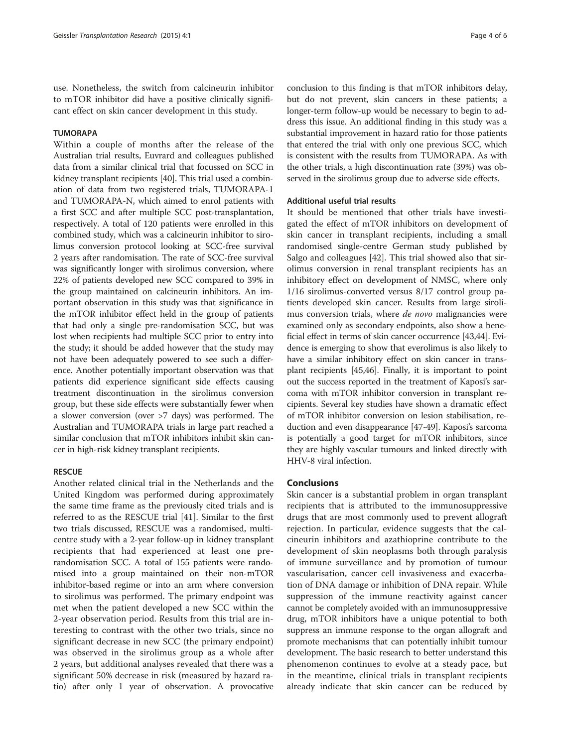use. Nonetheless, the switch from calcineurin inhibitor to mTOR inhibitor did have a positive clinically significant effect on skin cancer development in this study.

# TUMORAPA

Within a couple of months after the release of the Australian trial results, Euvrard and colleagues published data from a similar clinical trial that focussed on SCC in kidney transplant recipients [\[40\]](#page-5-0). This trial used a combination of data from two registered trials, TUMORAPA-1 and TUMORAPA-N, which aimed to enrol patients with a first SCC and after multiple SCC post-transplantation, respectively. A total of 120 patients were enrolled in this combined study, which was a calcineurin inhibitor to sirolimus conversion protocol looking at SCC-free survival 2 years after randomisation. The rate of SCC-free survival was significantly longer with sirolimus conversion, where 22% of patients developed new SCC compared to 39% in the group maintained on calcineurin inhibitors. An important observation in this study was that significance in the mTOR inhibitor effect held in the group of patients that had only a single pre-randomisation SCC, but was lost when recipients had multiple SCC prior to entry into the study; it should be added however that the study may not have been adequately powered to see such a difference. Another potentially important observation was that patients did experience significant side effects causing treatment discontinuation in the sirolimus conversion group, but these side effects were substantially fewer when a slower conversion (over >7 days) was performed. The Australian and TUMORAPA trials in large part reached a similar conclusion that mTOR inhibitors inhibit skin cancer in high-risk kidney transplant recipients.

# **RESCUE**

Another related clinical trial in the Netherlands and the United Kingdom was performed during approximately the same time frame as the previously cited trials and is referred to as the RESCUE trial [\[41](#page-5-0)]. Similar to the first two trials discussed, RESCUE was a randomised, multicentre study with a 2-year follow-up in kidney transplant recipients that had experienced at least one prerandomisation SCC. A total of 155 patients were randomised into a group maintained on their non-mTOR inhibitor-based regime or into an arm where conversion to sirolimus was performed. The primary endpoint was met when the patient developed a new SCC within the 2-year observation period. Results from this trial are interesting to contrast with the other two trials, since no significant decrease in new SCC (the primary endpoint) was observed in the sirolimus group as a whole after 2 years, but additional analyses revealed that there was a significant 50% decrease in risk (measured by hazard ratio) after only 1 year of observation. A provocative

conclusion to this finding is that mTOR inhibitors delay, but do not prevent, skin cancers in these patients; a longer-term follow-up would be necessary to begin to address this issue. An additional finding in this study was a substantial improvement in hazard ratio for those patients that entered the trial with only one previous SCC, which is consistent with the results from TUMORAPA. As with the other trials, a high discontinuation rate (39%) was observed in the sirolimus group due to adverse side effects.

#### Additional useful trial results

It should be mentioned that other trials have investigated the effect of mTOR inhibitors on development of skin cancer in transplant recipients, including a small randomised single-centre German study published by Salgo and colleagues [\[42\]](#page-5-0). This trial showed also that sirolimus conversion in renal transplant recipients has an inhibitory effect on development of NMSC, where only 1/16 sirolimus-converted versus 8/17 control group patients developed skin cancer. Results from large sirolimus conversion trials, where de novo malignancies were examined only as secondary endpoints, also show a beneficial effect in terms of skin cancer occurrence [[43](#page-5-0),[44](#page-5-0)]. Evidence is emerging to show that everolimus is also likely to have a similar inhibitory effect on skin cancer in transplant recipients [[45,46](#page-5-0)]. Finally, it is important to point out the success reported in the treatment of Kaposi's sarcoma with mTOR inhibitor conversion in transplant recipients. Several key studies have shown a dramatic effect of mTOR inhibitor conversion on lesion stabilisation, reduction and even disappearance [\[47](#page-5-0)-[49](#page-5-0)]. Kaposi's sarcoma is potentially a good target for mTOR inhibitors, since they are highly vascular tumours and linked directly with HHV-8 viral infection.

# **Conclusions**

Skin cancer is a substantial problem in organ transplant recipients that is attributed to the immunosuppressive drugs that are most commonly used to prevent allograft rejection. In particular, evidence suggests that the calcineurin inhibitors and azathioprine contribute to the development of skin neoplasms both through paralysis of immune surveillance and by promotion of tumour vascularisation, cancer cell invasiveness and exacerbation of DNA damage or inhibition of DNA repair. While suppression of the immune reactivity against cancer cannot be completely avoided with an immunosuppressive drug, mTOR inhibitors have a unique potential to both suppress an immune response to the organ allograft and promote mechanisms that can potentially inhibit tumour development. The basic research to better understand this phenomenon continues to evolve at a steady pace, but in the meantime, clinical trials in transplant recipients already indicate that skin cancer can be reduced by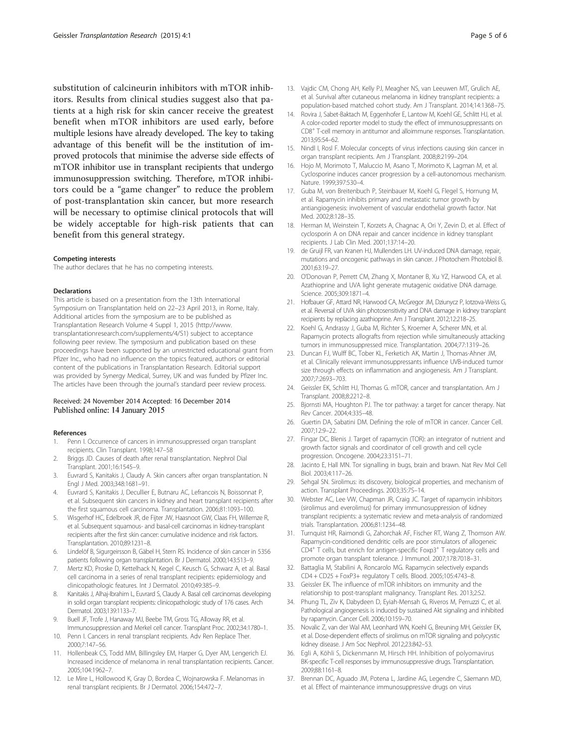<span id="page-4-0"></span>substitution of calcineurin inhibitors with mTOR inhibitors. Results from clinical studies suggest also that patients at a high risk for skin cancer receive the greatest benefit when mTOR inhibitors are used early, before multiple lesions have already developed. The key to taking advantage of this benefit will be the institution of improved protocols that minimise the adverse side effects of mTOR inhibitor use in transplant recipients that undergo immunosuppression switching. Therefore, mTOR inhibitors could be a "game changer" to reduce the problem of post-transplantation skin cancer, but more research will be necessary to optimise clinical protocols that will be widely acceptable for high-risk patients that can benefit from this general strategy.

#### Competing interests

The author declares that he has no competing interests.

#### Declarations

This article is based on a presentation from the 13th International Symposium on Transplantation held on 22–23 April 2013, in Rome, Italy. Additional articles from the symposium are to be published as Transplantation Research Volume 4 Suppl 1, 2015 ([http://www.](http://www.transplantationresearch.com/supplements/4/S1) [transplantationresearch.com/supplements/4/S1](http://www.transplantationresearch.com/supplements/4/S1)) subject to acceptance following peer review. The symposium and publication based on these proceedings have been supported by an unrestricted educational grant from Pfizer Inc., who had no influence on the topics featured, authors or editorial content of the publications in Transplantation Research. Editorial support was provided by Synergy Medical, Surrey, UK and was funded by Pfizer Inc. The articles have been through the journal's standard peer review process.

#### Received: 24 November 2014 Accepted: 16 December 2014 Published online: 14 January 2015

#### References

- 1. Penn I. Occurrence of cancers in immunosuppressed organ transplant recipients. Clin Transplant. 1998;147–58
- 2. Briggs JD. Causes of death after renal transplantation. Nephrol Dial Transplant. 2001;16:1545–9.
- 3. Euvrard S, Kanitakis J, Claudy A. Skin cancers after organ transplantation. N Engl J Med. 2003;348:1681–91.
- 4. Euvrard S, Kanitakis J, Decullier E, Butnaru AC, Lefrancois N, Boissonnat P, et al. Subsequent skin cancers in kidney and heart transplant recipients after the first squamous cell carcinoma. Transplantation. 2006;81:1093–100.
- 5. Wisgerhof HC, Edelbroek JR, de Fijter JW, Haasnoot GW, Claas FH, Willemze R, et al. Subsequent squamous- and basal-cell carcinomas in kidney-transplant recipients after the first skin cancer: cumulative incidence and risk factors. Transplantation. 2010;89:1231–8.
- Lindelöf B, Sigurgeirsson B, Gäbel H, Stern RS. Incidence of skin cancer in 5356 patients following organ transplantation. Br J Dermatol. 2000;143:513–9.
- 7. Mertz KD, Proske D, Kettelhack N, Kegel C, Keusch G, Schwarz A, et al. Basal cell carcinoma in a series of renal transplant recipients: epidemiology and clinicopathologic features. Int J Dermatol. 2010;49:385–9.
- 8. Kanitakis J, Alhaj-Ibrahim L, Euvrard S, Claudy A. Basal cell carcinomas developing in solid organ transplant recipients: clinicopathologic study of 176 cases. Arch Dermatol. 2003;139:1133–7.
- 9. Buell JF, Trofe J, Hanaway MJ, Beebe TM, Gross TG, Alloway RR, et al. Immunosuppression and Merkel cell cancer. Transplant Proc. 2002;34:1780–1.
- 10. Penn I. Cancers in renal transplant recipients. Adv Ren Replace Ther. 2000;7:147–56.
- 11. Hollenbeak CS, Todd MM, Billingsley EM, Harper G, Dyer AM, Lengerich EJ. Increased incidence of melanoma in renal transplantation recipients. Cancer. 2005;104:1962–7.
- 12. Le Mire L, Hollowood K, Gray D, Bordea C, Wojnarowska F. Melanomas in renal transplant recipients. Br J Dermatol. 2006;154:472–7.
- 13. Vajdic CM, Chong AH, Kelly PJ, Meagher NS, van Leeuwen MT, Grulich AE, et al. Survival after cutaneous melanoma in kidney transplant recipients: a population-based matched cohort study. Am J Transplant. 2014;14:1368–75.
- 14. Rovira J, Sabet-Baktach M, Eggenhofer E, Lantow M, Koehl GE, Schlitt HJ, et al. A color-coded reporter model to study the effect of immunosuppressants on CD8+ T-cell memory in antitumor and alloimmune responses. Transplantation. 2013;95:54–62.
- 15. Nindl I, Rosl F. Molecular concepts of virus infections causing skin cancer in organ transplant recipients. Am J Transplant. 2008;8:2199–204.
- 16. Hojo M, Morimoto T, Maluccio M, Asano T, Morimoto K, Lagman M, et al. Cyclosporine induces cancer progression by a cell-autonomous mechanism. Nature. 1999;397:530–4.
- 17. Guba M, von Breitenbuch P, Steinbauer M, Koehl G, Flegel S, Hornung M, et al. Rapamycin inhibits primary and metastatic tumor growth by antiangiogenesis: involvement of vascular endothelial growth factor. Nat Med. 2002;8:128–35.
- 18. Herman M, Weinstein T, Korzets A, Chagnac A, Ori Y, Zevin D, et al. Effect of cyclosporin A on DNA repair and cancer incidence in kidney transplant recipients. J Lab Clin Med. 2001;137:14–20.
- 19. de Gruijl FR, van Kranen HJ, Mullenders LH. UV-induced DNA damage, repair, mutations and oncogenic pathways in skin cancer. J Photochem Photobiol B. 2001;63:19–27.
- 20. O'Donovan P, Perrett CM, Zhang X, Montaner B, Xu YZ, Harwood CA, et al. Azathioprine and UVA light generate mutagenic oxidative DNA damage. Science. 2005;309:1871–4.
- 21. Hofbauer GF, Attard NR, Harwood CA, McGregor JM, Dziunycz P, Iotzova-Weiss G, et al. Reversal of UVA skin photosensitivity and DNA damage in kidney transplant recipients by replacing azathioprine. Am J Transplant. 2012;12:218–25.
- 22. Koehl G, Andrassy J, Guba M, Richter S, Kroemer A, Scherer MN, et al. Rapamycin protects allografts from rejection while simultaneously attacking tumors in immunosuppressed mice. Transplantation. 2004;77:1319–26.
- 23. Duncan FJ, Wulff BC, Tober KL, Ferketich AK, Martin J, Thomas-Ahner JM, et al. Clinically relevant immunosuppressants influence UVB-induced tumor size through effects on inflammation and angiogenesis. Am J Transplant. 2007;7:2693–703.
- 24. Geissler EK, Schlitt HJ, Thomas G. mTOR, cancer and transplantation. Am J Transplant. 2008;8:2212–8.
- 25. Bjornsti MA, Houghton PJ. The tor pathway: a target for cancer therapy. Nat Rev Cancer. 2004;4:335–48.
- 26. Guertin DA, Sabatini DM. Defining the role of mTOR in cancer. Cancer Cell. 2007;12:9–22.
- 27. Fingar DC, Blenis J. Target of rapamycin (TOR): an integrator of nutrient and growth factor signals and coordinator of cell growth and cell cycle progression. Oncogene. 2004;23:3151–71.
- 28. Jacinto E, Hall MN. Tor signalling in bugs, brain and brawn. Nat Rev Mol Cell Biol. 2003;4:117–26.
- 29. Sehgal SN. Sirolimus: its discovery, biological properties, and mechanism of action. Transplant Proceedings. 2003;35:7S–14.
- 30. Webster AC, Lee VW, Chapman JR, Craig JC. Target of rapamycin inhibitors (sirolimus and everolimus) for primary immunosuppression of kidney transplant recipients: a systematic review and meta-analysis of randomized trials. Transplantation. 2006;81:1234–48.
- 31. Turnquist HR, Raimondi G, Zahorchak AF, Fischer RT, Wang Z, Thomson AW. Rapamycin-conditioned dendritic cells are poor stimulators of allogeneic CD4<sup>+</sup> T cells, but enrich for antigen-specific Foxp3<sup>+</sup> T regulatory cells and promote organ transplant tolerance. J Immunol. 2007;178:7018–31.
- 32. Battaglia M, Stabilini A, Roncarolo MG. Rapamycin selectively expands CD4 + CD25 + FoxP3+ regulatory T cells. Blood. 2005;105:4743–8.
- 33. Geissler EK. The influence of mTOR inhibitors on immunity and the relationship to post-transplant malignancy. Transplant Res. 2013;2:S2.
- 34. Phung TL, Ziv K, Dabydeen D, Eyiah-Mensah G, Riveros M, Perruzzi C, et al. Pathological angiogenesis is induced by sustained Akt signaling and inhibited by rapamycin. Cancer Cell. 2006;10:159–70.
- 35. Novalic Z, van der Wal AM, Leonhard WN, Koehl G, Breuning MH, Geissler EK, et al. Dose-dependent effects of sirolimus on mTOR signaling and polycystic kidney disease. J Am Soc Nephrol. 2012;23:842–53.
- 36. Egli A, Köhli S, Dickenmann M, Hirsch HH. Inhibition of polyomavirus BK-specific T-cell responses by immunosuppressive drugs. Transplantation. 2009;88:1161–8.
- 37. Brennan DC, Aguado JM, Potena L, Jardine AG, Legendre C, Säemann MD, et al. Effect of maintenance immunosuppressive drugs on virus